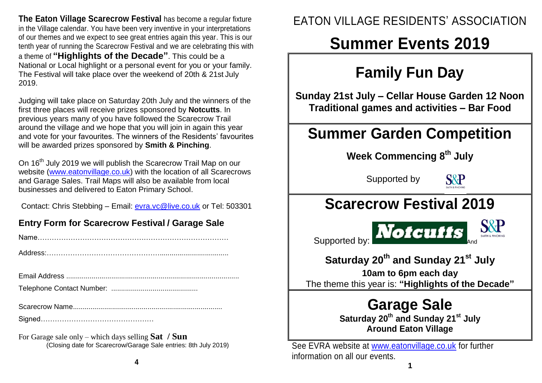**The Eaton Village Scarecrow Festival** has become a regular fixture in the Village calendar. You have been very inventive in your interpretations of our themes and we expect to see great entries again this year. This is our tenth year of running the Scarecrow Festival and we are celebrating this with a theme of **"Highlights of the Decade"**. This could be a National or Local highlight or a personal event for you or your family. The Festival will take place over the weekend of 20th & 21st July 2019.

Judging will take place on Saturday 20th July and the winners of the first three places will receive prizes sponsored by **Notcutts**. In previous years many of you have followed the Scarecrow Trail around the village and we hope that you will join in again this year and vote for your favourites. The winners of the Residents' favourites will be awarded prizes sponsored by **Smith & Pinching**.

On 16<sup>th</sup> July 2019 we will publish the Scarecrow Trail Map on our website [\(www.eatonvillage.co.uk\)](http://www.eatonvillage.co.uk/) with the location of all Scarecrows and Garage Sales. Trail Maps will also be available from local businesses and delivered to Eaton Primary School.

Contact: Chris Stebbing – Email: [evra.vc@live.co.uk](mailto:evra.vc@live.co.uk) or Tel: 503301

#### **Entry Form for Scarecrow Festival / Garage Sale**

|--|

|--|--|--|--|--|

Telephone Contact Number: ............................................

|--|

Signed…………………………………………

For Garage sale only – which days selling **Sat / Sun** (Closing date for Scarecrow/Garage Sale entries: 8th July 2019)

### EATON VILLAGE RESIDENTS' ASSOCIATION

# **Summer Events 2019**

## **Family Fun Day**

**Sunday 21st July – Cellar House Garden 12 Noon Traditional games and activities – Bar Food**

## **Summer Garden Competition**

**Week Commencing 8 th July**

Supported by



## **Scarecrow Festival 2019**

Supported by: **Notcutts** 

### **Saturday 20 th and Sunday 21 st July**

**10am to 6pm each day**

The theme this year is: **"Highlights of the Decade"**

## **Garage Sale**

**Saturday 20th and Sunday 21st July Around Eaton Village**

See EVRA website at [www.eatonvillage.co.uk](http://www.eatonvillage.co.uk/) for further information on all our events.